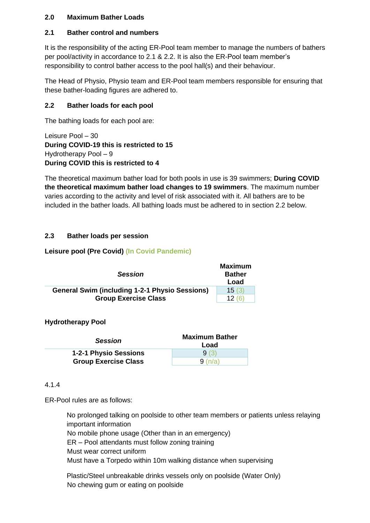# **2.0 Maximum Bather Loads**

### **2.1 Bather control and numbers**

It is the responsibility of the acting ER-Pool team member to manage the numbers of bathers per pool/activity in accordance to 2.1 & 2.2. It is also the ER-Pool team member's responsibility to control bather access to the pool hall(s) and their behaviour.

The Head of Physio, Physio team and ER-Pool team members responsible for ensuring that these bather-loading figures are adhered to.

### **2.2 Bather loads for each pool**

The bathing loads for each pool are:

Leisure Pool – 30 **During COVID-19 this is restricted to 15** Hydrotherapy Pool – 9 **During COVID this is restricted to 4**

The theoretical maximum bather load for both pools in use is 39 swimmers; **During COVID the theoretical maximum bather load changes to 19 swimmers**. The maximum number varies according to the activity and level of risk associated with it. All bathers are to be included in the bather loads. All bathing loads must be adhered to in section 2.2 below.

## **2.3 Bather loads per session**

### **Leisure pool (Pre Covid) (In Covid Pandemic)**

| <b>Session</b>                                        | <b>Maximum</b><br><b>Bather</b><br>Load |
|-------------------------------------------------------|-----------------------------------------|
| <b>General Swim (including 1-2-1 Physio Sessions)</b> | 15(3)                                   |
| <b>Group Exercise Class</b>                           | 12(6)                                   |

### **Hydrotherapy Pool**

| <b>Session</b>              | <b>Maximum Bather</b><br>Load |
|-----------------------------|-------------------------------|
| 1-2-1 Physio Sessions       | 9(3)                          |
| <b>Group Exercise Class</b> | 9(n/a)                        |

### 4.1.4

ER-Pool rules are as follows:

No prolonged talking on poolside to other team members or patients unless relaying important information

No mobile phone usage (Other than in an emergency)

ER – Pool attendants must follow zoning training

Must wear correct uniform

Must have a Torpedo within 10m walking distance when supervising

Plastic/Steel unbreakable drinks vessels only on poolside (Water Only) No chewing gum or eating on poolside